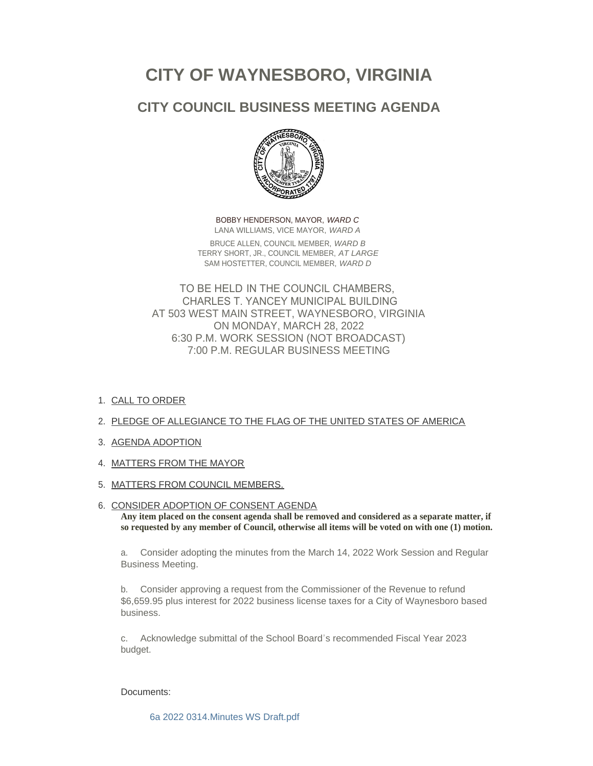# **CITY OF WAYNESBORO, VIRGINIA**

# **CITY COUNCIL BUSINESS MEETING AGENDA**



BOBBY HENDERSON, MAYOR, *WARD C* LANA WILLIAMS, VICE MAYOR, *WARD A* BRUCE ALLEN, COUNCIL MEMBER, *WARD B* TERRY SHORT, JR., COUNCIL MEMBER, *AT LARGE* SAM HOSTETTER, COUNCIL MEMBER, *WARD D*

TO BE HELD IN THE COUNCIL CHAMBERS, CHARLES T. YANCEY MUNICIPAL BUILDING AT 503 WEST MAIN STREET, WAYNESBORO, VIRGINIA ON MONDAY, MARCH 28, 2022 6:30 P.M. WORK SESSION (NOT BROADCAST) 7:00 P.M. REGULAR BUSINESS MEETING

1. <u>CALL TO ORDER</u>

# 2. PLEDGE OF ALLEGIANCE TO THE FLAG OF THE UNITED STATES OF AMERICA

- 3. AGENDA ADOPTION
- 4. MATTERS FROM THE MAYOR
- 5. <u>MATTERS FROM COUNCIL MEMBERS.</u>

# 6. CONSIDER ADOPTION OF CONSENT AGENDA

**Any item placed on the consent agenda shall be removed and considered as a separate matter, if so requested by any member of Council, otherwise all items will be voted on with one (1) motion.**

a. Consider adopting the minutes from the March 14, 2022 Work Session and Regular Business Meeting.

b. Consider approving a request from the Commissioner of the Revenue to refund \$6,659.95 plus interest for 2022 business license taxes for a City of Waynesboro based business.

c. Acknowledge submittal of the School Board's recommended Fiscal Year 2023 budget.

# Documents:

[6a 2022 0314.Minutes WS Draft.pdf](https://www.waynesboro.va.us/AgendaCenter/ViewFile/Item/4614?fileID=44361)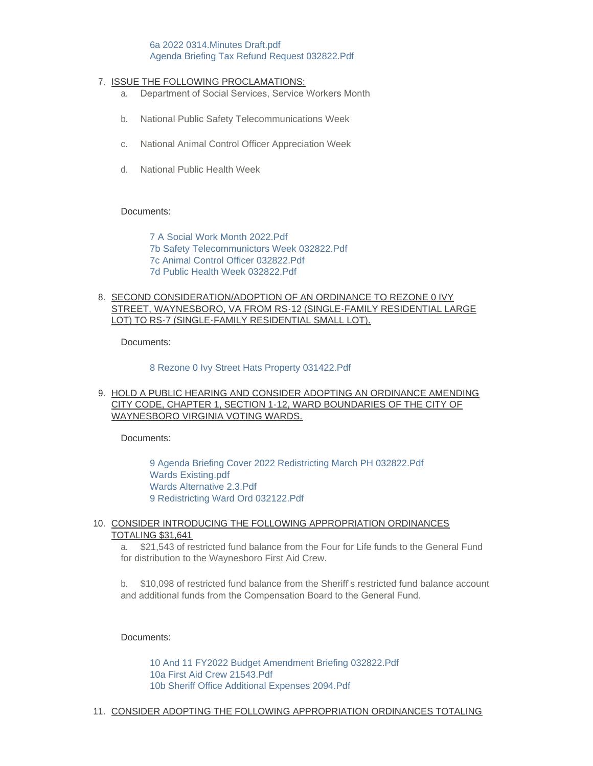# [6a 2022 0314.Minutes Draft.pdf](https://www.waynesboro.va.us/AgendaCenter/ViewFile/Item/4614?fileID=44360) [Agenda Briefing Tax Refund Request 032822.Pdf](https://www.waynesboro.va.us/AgendaCenter/ViewFile/Item/4614?fileID=44386)

# 7. <u>ISSUE THE FOLLOWING PROCLAMATIONS:</u>

- a. Department of Social Services, Service Workers Month
- b. National Public Safety Telecommunications Week
- c. National Animal Control Officer Appreciation Week
- d. National Public Health Week

#### Documents:

[7 A Social Work Month 2022.Pdf](https://www.waynesboro.va.us/AgendaCenter/ViewFile/Item/4626?fileID=44362) [7b Safety Telecommunictors Week 032822.Pdf](https://www.waynesboro.va.us/AgendaCenter/ViewFile/Item/4626?fileID=44363) [7c Animal Control Officer 032822.Pdf](https://www.waynesboro.va.us/AgendaCenter/ViewFile/Item/4626?fileID=44364) [7d Public Health Week 032822.Pdf](https://www.waynesboro.va.us/AgendaCenter/ViewFile/Item/4626?fileID=44365)

# 8. SECOND CONSIDERATION/ADOPTION OF AN ORDINANCE TO REZONE 0 IVY STREET, WAYNESBORO, VA FROM RS-12 (SINGLE-FAMILY RESIDENTIAL LARGE LOT) TO RS-7 (SINGLE-FAMILY RESIDENTIAL SMALL LOT).

Documents:

#### [8 Rezone 0 Ivy Street Hats Property 031422.Pdf](https://www.waynesboro.va.us/AgendaCenter/ViewFile/Item/4627?fileID=44366)

# 9. <u>HOLD A PUBLIC HEARING AND CONSIDER ADOPTING AN ORDINANCE AMENDING</u> CITY CODE, CHAPTER 1, SECTION 1-12, WARD BOUNDARIES OF THE CITY OF WAYNESBORO VIRGINIA VOTING WARDS.

Documents:

[9 Agenda Briefing Cover 2022 Redistricting March PH 032822.Pdf](https://www.waynesboro.va.us/AgendaCenter/ViewFile/Item/4628?fileID=44371) [Wards Existing.pdf](https://www.waynesboro.va.us/AgendaCenter/ViewFile/Item/4628?fileID=44373) [Wards Alternative 2.3.Pdf](https://www.waynesboro.va.us/AgendaCenter/ViewFile/Item/4628?fileID=44372) [9 Redistricting Ward Ord 032122.Pdf](https://www.waynesboro.va.us/AgendaCenter/ViewFile/Item/4628?fileID=44374)

#### 10. CONSIDER INTRODUCING THE FOLLOWING APPROPRIATION ORDINANCES TOTALING \$31,641

a. \$21,543 of restricted fund balance from the Four for Life funds to the General Fund for distribution to the Waynesboro First Aid Crew.

b. \$10,098 of restricted fund balance from the Sheriff's restricted fund balance account and additional funds from the Compensation Board to the General Fund.

Documents:

[10 And 11 FY2022 Budget Amendment Briefing 032822.Pdf](https://www.waynesboro.va.us/AgendaCenter/ViewFile/Item/4629?fileID=44375) [10a First Aid Crew 21543.Pdf](https://www.waynesboro.va.us/AgendaCenter/ViewFile/Item/4629?fileID=44376) [10b Sheriff Office Additional Expenses 2094.Pdf](https://www.waynesboro.va.us/AgendaCenter/ViewFile/Item/4629?fileID=44377)

11. CONSIDER ADOPTING THE FOLLOWING APPROPRIATION ORDINANCES TOTALING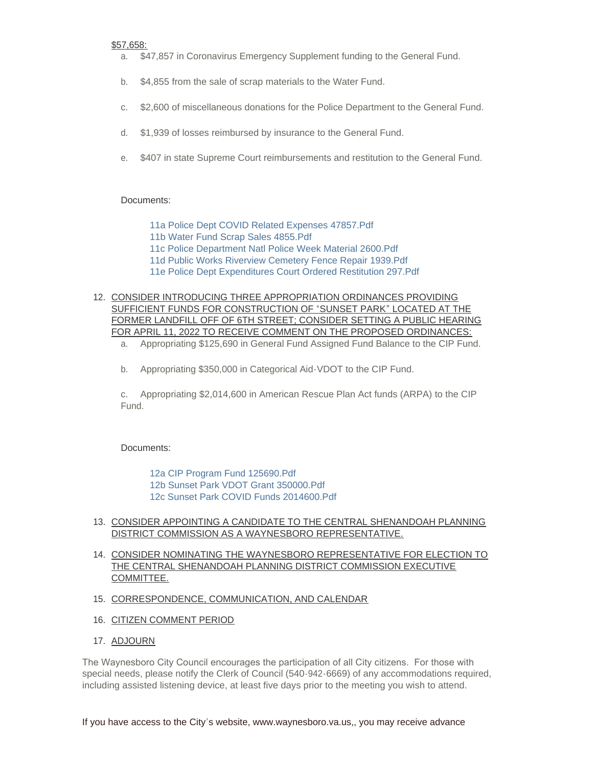#### \$57,658:

- a. \$47,857 in Coronavirus Emergency Supplement funding to the General Fund.
- b. \$4,855 from the sale of scrap materials to the Water Fund.
- c. \$2,600 of miscellaneous donations for the Police Department to the General Fund.
- d. \$1,939 of losses reimbursed by insurance to the General Fund.
- e. \$407 in state Supreme Court reimbursements and restitution to the General Fund.

# Documents:

[11a Police Dept COVID Related Expenses 47857.Pdf](https://www.waynesboro.va.us/AgendaCenter/ViewFile/Item/4630?fileID=44378)

- [11b Water Fund Scrap Sales 4855.Pdf](https://www.waynesboro.va.us/AgendaCenter/ViewFile/Item/4630?fileID=44379)
- [11c Police Department Natl Police Week Material 2600.Pdf](https://www.waynesboro.va.us/AgendaCenter/ViewFile/Item/4630?fileID=44382)
- [11d Public Works Riverview Cemetery Fence Repair 1939.Pdf](https://www.waynesboro.va.us/AgendaCenter/ViewFile/Item/4630?fileID=44380)
- [11e Police Dept Expenditures Court Ordered Restitution 297.Pdf](https://www.waynesboro.va.us/AgendaCenter/ViewFile/Item/4630?fileID=44381)

# 12. CONSIDER INTRODUCING THREE APPROPRIATION ORDINANCES PROVIDING SUFFICIENT FUNDS FOR CONSTRUCTION OF "SUNSET PARK" LOCATED AT THE FORMER LANDFILL OFF OF 6TH STREET; CONSIDER SETTING A PUBLIC HEARING FOR APRIL 11, 2022 TO RECEIVE COMMENT ON THE PROPOSED ORDINANCES:

- a. Appropriating \$125,690 in General Fund Assigned Fund Balance to the CIP Fund.
- b. Appropriating \$350,000 in Categorical Aid-VDOT to the CIP Fund.

c. Appropriating \$2,014,600 in American Rescue Plan Act funds (ARPA) to the CIP Fund.

# Documents:

[12a CIP Program Fund 125690.Pdf](https://www.waynesboro.va.us/AgendaCenter/ViewFile/Item/4631?fileID=44383) [12b Sunset Park VDOT Grant 350000.Pdf](https://www.waynesboro.va.us/AgendaCenter/ViewFile/Item/4631?fileID=44384) [12c Sunset Park COVID Funds 2014600.Pdf](https://www.waynesboro.va.us/AgendaCenter/ViewFile/Item/4631?fileID=44385)

# 13. CONSIDER APPOINTING A CANDIDATE TO THE CENTRAL SHENANDOAH PLANNING DISTRICT COMMISSION AS A WAYNESBORO REPRESENTATIVE.

- 14. CONSIDER NOMINATING THE WAYNESBORO REPRESENTATIVE FOR ELECTION TO THE CENTRAL SHENANDOAH PLANNING DISTRICT COMMISSION EXECUTIVE COMMITTEE.
- 15. CORRESPONDENCE, COMMUNICATION, AND CALENDAR
- 16. CITIZEN COMMENT PERIOD
- 17. <u>ADJOURN</u>

The Waynesboro City Council encourages the participation of all City citizens. For those with special needs, please notify the Clerk of Council (540-942-6669) of any accommodations required, including assisted listening device, at least five days prior to the meeting you wish to attend.